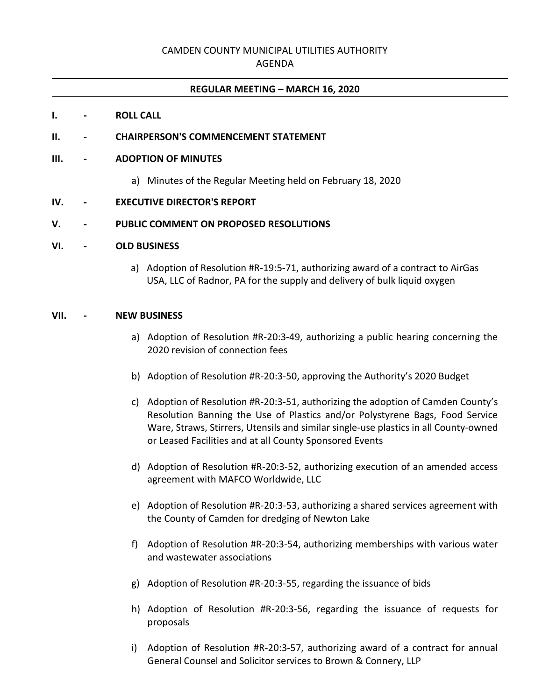# CAMDEN COUNTY MUNICIPAL UTILITIES AUTHORITY

AGENDA

#### **REGULAR MEETING – MARCH 16, 2020**

#### **I. - ROLL CALL**

#### **II. - CHAIRPERSON'S COMMENCEMENT STATEMENT**

#### **III. - ADOPTION OF MINUTES**

a) Minutes of the Regular Meeting held on February 18, 2020

#### **IV. - EXECUTIVE DIRECTOR'S REPORT**

#### **V. - PUBLIC COMMENT ON PROPOSED RESOLUTIONS**

## **VI. - OLD BUSINESS**

a) Adoption of Resolution #R-19:5-71, authorizing award of a contract to AirGas USA, LLC of Radnor, PA for the supply and delivery of bulk liquid oxygen

## **VII. - NEW BUSINESS**

- a) Adoption of Resolution #R-20:3-49, authorizing a public hearing concerning the 2020 revision of connection fees
- b) Adoption of Resolution #R-20:3-50, approving the Authority's 2020 Budget
- c) Adoption of Resolution #R-20:3-51, authorizing the adoption of Camden County's Resolution Banning the Use of Plastics and/or Polystyrene Bags, Food Service Ware, Straws, Stirrers, Utensils and similar single-use plastics in all County-owned or Leased Facilities and at all County Sponsored Events
- d) Adoption of Resolution #R-20:3-52, authorizing execution of an amended access agreement with MAFCO Worldwide, LLC
- e) Adoption of Resolution #R-20:3-53, authorizing a shared services agreement with the County of Camden for dredging of Newton Lake
- f) Adoption of Resolution #R-20:3-54, authorizing memberships with various water and wastewater associations
- g) Adoption of Resolution #R-20:3-55, regarding the issuance of bids
- h) Adoption of Resolution #R-20:3-56, regarding the issuance of requests for proposals
- i) Adoption of Resolution #R-20:3-57, authorizing award of a contract for annual General Counsel and Solicitor services to Brown & Connery, LLP